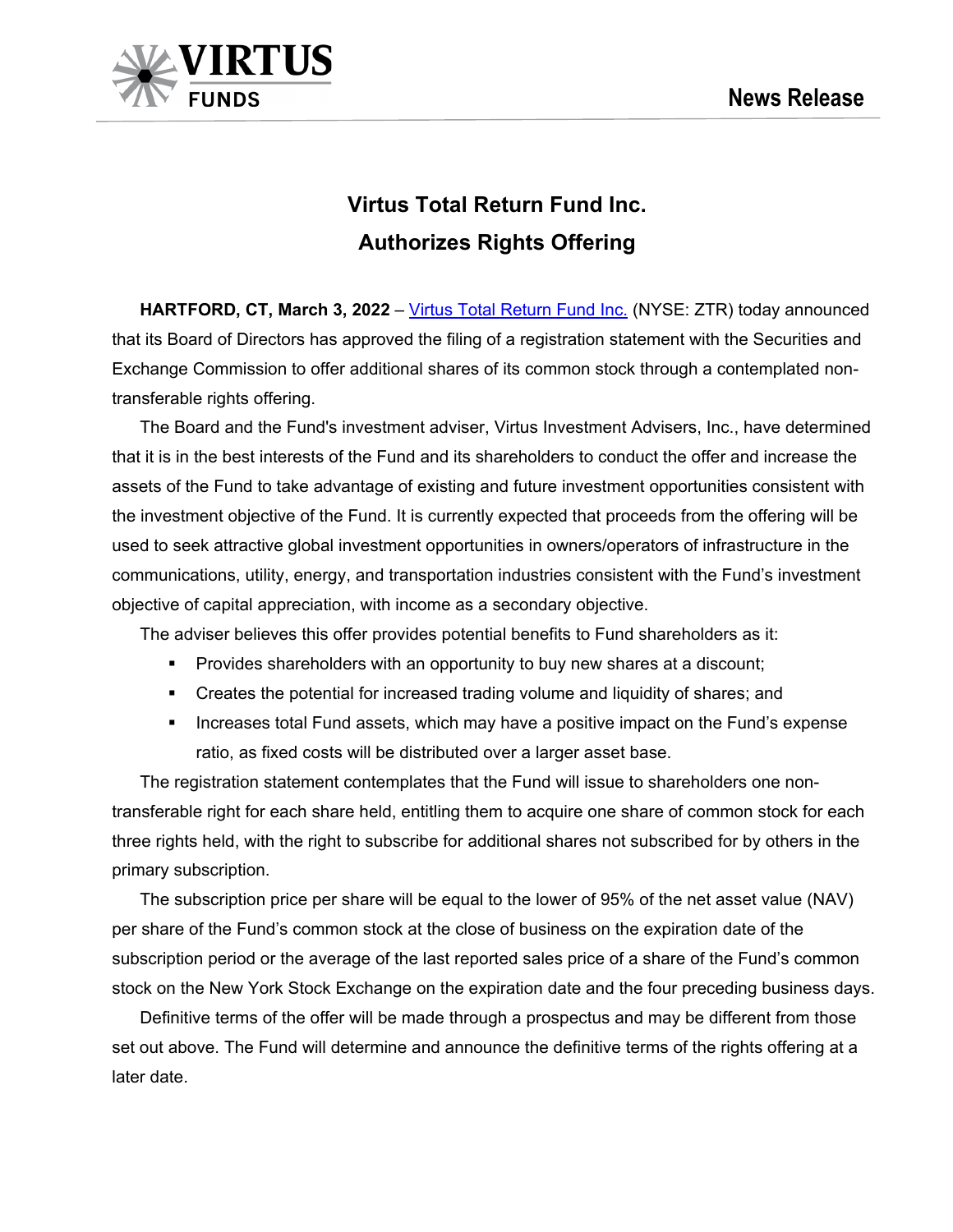

# **Virtus Total Return Fund Inc. Authorizes Rights Offering**

**HARTFORD, CT, March 3, 2022** – [Virtus Total Return Fund Inc.](https://www.virtus.com/products/virtus-total-return-fund) (NYSE: ZTR) today announced that its Board of Directors has approved the filing of a registration statement with the Securities and Exchange Commission to offer additional shares of its common stock through a contemplated nontransferable rights offering.

The Board and the Fund's investment adviser, Virtus Investment Advisers, Inc., have determined that it is in the best interests of the Fund and its shareholders to conduct the offer and increase the assets of the Fund to take advantage of existing and future investment opportunities consistent with the investment objective of the Fund. It is currently expected that proceeds from the offering will be used to seek attractive global investment opportunities in owners/operators of infrastructure in the communications, utility, energy, and transportation industries consistent with the Fund's investment objective of capital appreciation, with income as a secondary objective.

The adviser believes this offer provides potential benefits to Fund shareholders as it:

- **Provides shareholders with an opportunity to buy new shares at a discount;**
- Creates the potential for increased trading volume and liquidity of shares; and
- **Increases total Fund assets, which may have a positive impact on the Fund's expense** ratio, as fixed costs will be distributed over a larger asset base.

The registration statement contemplates that the Fund will issue to shareholders one nontransferable right for each share held, entitling them to acquire one share of common stock for each three rights held, with the right to subscribe for additional shares not subscribed for by others in the primary subscription.

The subscription price per share will be equal to the lower of 95% of the net asset value (NAV) per share of the Fund's common stock at the close of business on the expiration date of the subscription period or the average of the last reported sales price of a share of the Fund's common stock on the New York Stock Exchange on the expiration date and the four preceding business days.

Definitive terms of the offer will be made through a prospectus and may be different from those set out above. The Fund will determine and announce the definitive terms of the rights offering at a later date.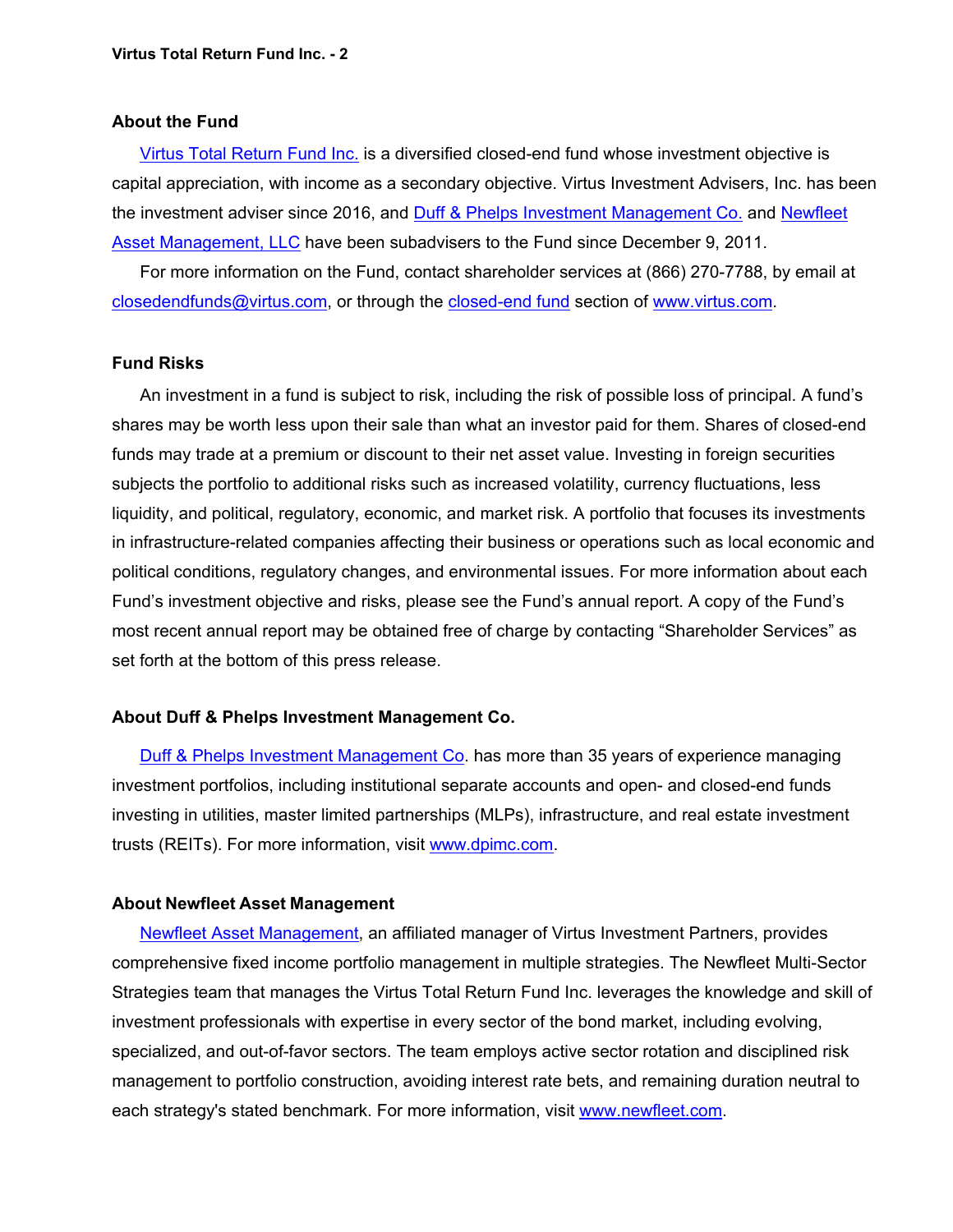#### **About the Fund**

[Virtus Total Return Fund](https://www.virtus.com/products/virtus-total-return-fund) Inc. is a diversified closed-end fund whose investment objective is capital appreciation, with income as a secondary objective. Virtus Investment Advisers, Inc. has been the investment adviser since 2016, and [Duff & Phelps Investment Management Co.](https://www.virtus.com/investment-partners/duff-and-phelps-investment-management-co) and Newfleet [Asset Management, LLC](https://www.virtus.com/investment-partners/newfleet-asset-management-llc) have been subadvisers to the Fund since December 9, 2011.

For more information on the Fund, contact shareholder services at (866) 270-7788, by email at [closedendfunds@virtus.com,](mailto:closedendfunds@virtus.com) or through the [closed-end fund](https://www.virtus.com/our-products/individual-investors/closed-end-funds#/share_class_id.16/type.daily/relation.nav) section of [www.virtus.com.](http://www.virtus.com/)

### **Fund Risks**

An investment in a fund is subject to risk, including the risk of possible loss of principal. A fund's shares may be worth less upon their sale than what an investor paid for them. Shares of closed-end funds may trade at a premium or discount to their net asset value. Investing in foreign securities subjects the portfolio to additional risks such as increased volatility, currency fluctuations, less liquidity, and political, regulatory, economic, and market risk. A portfolio that focuses its investments in infrastructure-related companies affecting their business or operations such as local economic and political conditions, regulatory changes, and environmental issues. For more information about each Fund's investment objective and risks, please see the Fund's annual report. A copy of the Fund's most recent annual report may be obtained free of charge by contacting "Shareholder Services" as set forth at the bottom of this press release.

## **About Duff & Phelps Investment Management Co.**

[Duff & Phelps Investment Management Co.](https://www.dpimc.com/) has more than 35 years of experience managing investment portfolios, including institutional separate accounts and open- and closed-end funds investing in utilities, master limited partnerships (MLPs), infrastructure, and real estate investment trusts (REITs). For more information, visit [www.dpimc.com.](http://www.dpimc.com/)

#### **About Newfleet Asset Management**

[Newfleet Asset Management,](https://www.newfleet.com/) an affiliated manager of Virtus Investment Partners, provides comprehensive fixed income portfolio management in multiple strategies. The Newfleet Multi-Sector Strategies team that manages the Virtus Total Return Fund Inc. leverages the knowledge and skill of investment professionals with expertise in every sector of the bond market, including evolving, specialized, and out-of-favor sectors. The team employs active sector rotation and disciplined risk management to portfolio construction, avoiding interest rate bets, and remaining duration neutral to each strategy's stated benchmark. For more information, visit [www.newfleet.com.](http://www.newfleet.com/)